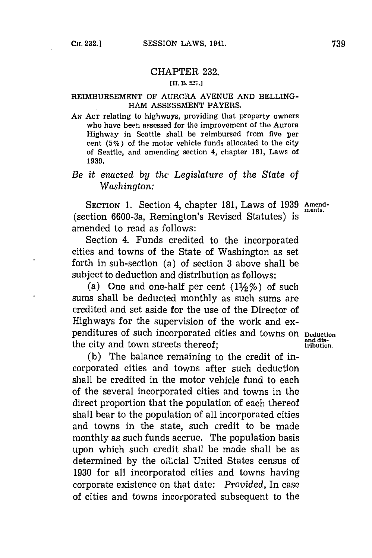### CHAPTER **232.**

## **[H. B3. 527.]**

### REIMBURSEMENT OF AURORA **AVENUE AND** BELLING-HAM **ASSESSMENT** PAYERS.

AN Acr relating to highways, providing that property owners who have been asscssed for the improvement of the Aurora Highway in Scattle shall be reimbursed from five per cent **(5%)** of the motor vehicle funds allocated to the city of Seattle, and amending section 4, chapter **181,** Laws of **1939.**

# *Be it enacted by* the' *Legislature of the State of Washington:*

**SECTION 1.** Section 4, chapter **181,** Laws of **1939 Amend-**(section 6600-3a, Remington's Revised Statutes) is amended to read as follows:

Section 4. Funds credited to the incorporated cities and towns of the State of Washington as set forth in sub-section (a) of section **3** above shall be subject to deduction and distribution as follows:

(a) One and one-half per cent  $(1\frac{1}{2}\%)$  of such sums shall be deducted monthly as such sums are credited and set aside for the use of the Director of Highways for the supervision of the work and expenditures of such incorporated cities and towns on peduction<br>the city and town streets thereof:<br>tribution. the city and town streets thereof;

**(b)** The balance remaining to the credit of incorporated cities and towns after such deduction shall be credited in the motor vehicle fund to each of the several incorporated cities and towns in the direct proportion that the population of each thereof shall bear to the population of all incorporated cities and towns in the state, such credit to be made monthly as such funds accrue. The population basis upon which such credit shall be made shall be as determined by the oilicial United States census of **1930** for all incorporated cities and towns having corporate existence on that date: *Provided,* In case of cities and towns incorporated subsequent to the

**ments.**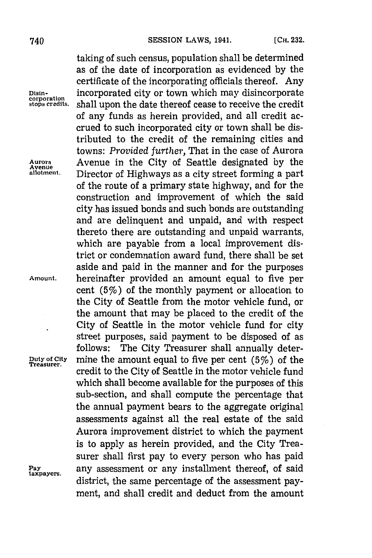**Avenue**

**Treasurer.**

taking of such census, population shall be determined as of the date of incorporation as evidenced **by** the certificate of the incorporating officials thereof. Any **Disin-** incorporated city or town which may disincorporate **corporation** shall upon the date thereof cease to receive the credit of any funds as herein provided, and all credit accrued to such incorporated city or town shall be distributed to the credit of the remaining cities and towns: *Provided further,* That in the case of Aurora **Aurora** Avenue in the City of Seattle designated **by** the Director of Highways as a city street forming a part of the route of a primary state highway, and for the construction and improvement of which the said city has issued bonds and such bonds are outstanding and are delinquent and unpaid, and with respect thereto there are outstanding and unpaid warrants, which are payable from a local improvement district or condemnation award fund, there shall be set aside and paid in the manner and for the purposes **Amount,** hereinafter provided an amount equal to five per cent  $(5%)$  of the monthly payment or allocation to the City of Seattle from the motor vehicle fund, or the amount that may be placed to the credit of the City of Seattle in the motor vehicle fund for city street purposes, said payment to be disposed of as follows: The City Treasurer shall annually deter- $\frac{Duty}{T}$  of  $\frac{City}{T}$  mine the amount equal to five per cent (5%) of the credit to the City of Seattle in the motor vehicle fund which shall become available for the purposes of this sub-section, and shall compute the percentage that the annual payment bears to the aggregate original assessments against all the real estate of the said Aurora improvement district to which the payment is to apply as herein provided, and the City Treasurer shall first pay to every person who has paid Pay any assessment or any installment thereof, of said district, the same percentage of the assessment payment, and shall credit and deduct from the amount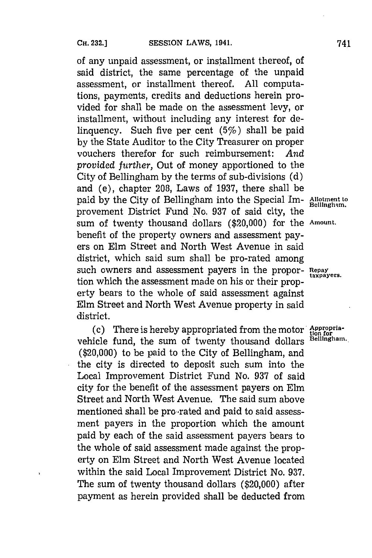of any unpaid assessment, or installment thereof, of said district, the same percentage of the unpaid assessment, or installment thereof. **All** computations, payments, credits and deductions herein provided for shall be made on the assessment levy, or installment, without including any interest for delinquency. Such five per cent  $(5%)$  shall be paid **by** the State Auditor to the City Treasurer on proper vouchers therefor for such reimbursement: *And provided further,* Out of money apportioned to the City of Bellingham **by** the terms of sub-divisions **(d)** and (e), chapter **208,** Laws of **1937,** there shall be paid by the City of Bellingham into the Special Im- Allotment to paid by the City of Bellingham. provement District Fund No. 937 of said city, the sum of twenty thousand dollars (\$20,000) for the **Amount.** benefit of the property owners and assessment payers on Elm Street and North West Avenue in said district, which said sum shall be pro-rated among such owners and assessment payers in the propor- Repay tion which the assessment made on his or their property bears to the whole of said assessment against Elm Street and North West Avenue property in said district.

(c) There is hereby appropriated from the motor  $\frac{Appropriate}{(2)}$ vehicle fund, the sum of twenty thousand dollars **Bellingham**. (\$20,000) to be paid to the City of Bellingham, and the city is directed to deposit such sum into the Local Improvement District Fund No. **937** of said city for the benefit of the assessment payers on Elm Street and North West Avenue. The said sum above mentioned shall be pro-rated and paid to said assessment payers in the proportion which the amount paid **by** each of the said assessment payers bears to the whole of said assessment made against the property on Elm Street and North West Avenue located within the said Local Improvement District No. **937.** The sum of twenty thousand dollars (\$20,000) after payment as herein provided shall be deducted from